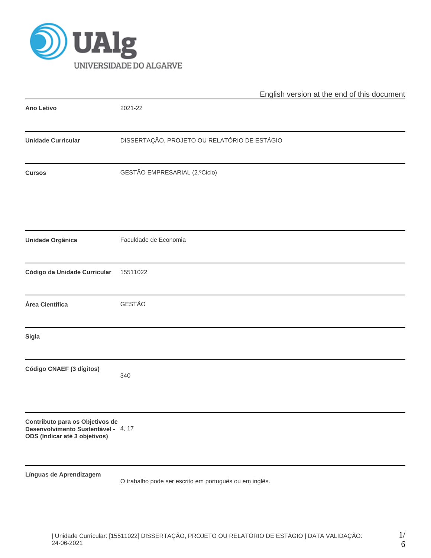

|                                                                                                         | English version at the end of this document            |  |  |  |  |  |  |
|---------------------------------------------------------------------------------------------------------|--------------------------------------------------------|--|--|--|--|--|--|
| Ano Letivo                                                                                              | 2021-22                                                |  |  |  |  |  |  |
| <b>Unidade Curricular</b>                                                                               | DISSERTAÇÃO, PROJETO OU RELATÓRIO DE ESTÁGIO           |  |  |  |  |  |  |
| <b>Cursos</b>                                                                                           | GESTÃO EMPRESARIAL (2.ºCiclo)                          |  |  |  |  |  |  |
| <b>Unidade Orgânica</b>                                                                                 | Faculdade de Economia                                  |  |  |  |  |  |  |
|                                                                                                         |                                                        |  |  |  |  |  |  |
| Código da Unidade Curricular                                                                            | 15511022                                               |  |  |  |  |  |  |
| Área Científica                                                                                         | GESTÃO                                                 |  |  |  |  |  |  |
| Sigla                                                                                                   |                                                        |  |  |  |  |  |  |
| Código CNAEF (3 dígitos)                                                                                | 340                                                    |  |  |  |  |  |  |
| Contributo para os Objetivos de<br>Desenvolvimento Sustentável - 4, 17<br>ODS (Indicar até 3 objetivos) |                                                        |  |  |  |  |  |  |
| Línguas de Aprendizagem                                                                                 | O trabalho pode ser escrito em português ou em inglês. |  |  |  |  |  |  |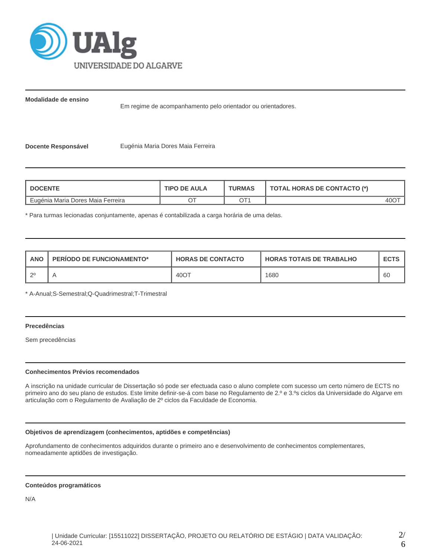

**Modalidade de ensino**

Em regime de acompanhamento pelo orientador ou orientadores.

**Docente Responsável <b>Eugénia Maria Dores Maia Ferreira** 

| <b>DOCENTE</b>                    | <b>TIPO DE AULA</b> | <b>TURMAS</b> | <b>TOTAL HORAS DE CONTACTO (*)</b> |  |  |
|-----------------------------------|---------------------|---------------|------------------------------------|--|--|
| Eugénia Maria Dores Maia Ferreira |                     |               | 40O <sup>-</sup>                   |  |  |

\* Para turmas lecionadas conjuntamente, apenas é contabilizada a carga horária de uma delas.

| <b>ANO</b> | <b>PERIODO DE FUNCIONAMENTO*</b> | <b>HORAS DE CONTACTO</b> | <b>HORAS TOTAIS DE TRABALHO</b> | <b>ECTS</b> |
|------------|----------------------------------|--------------------------|---------------------------------|-------------|
| つ0         |                                  | 40OT                     | 1680                            | 60          |

\* A-Anual;S-Semestral;Q-Quadrimestral;T-Trimestral

# **Precedências**

Sem precedências

## **Conhecimentos Prévios recomendados**

A inscrição na unidade curricular de Dissertação só pode ser efectuada caso o aluno complete com sucesso um certo número de ECTS no primeiro ano do seu plano de estudos. Este limite definir-se-á com base no Regulamento de 2.º e 3.ºs ciclos da Universidade do Algarve em articulação com o Regulamento de Avaliação de 2º ciclos da Faculdade de Economia.

## **Objetivos de aprendizagem (conhecimentos, aptidões e competências)**

Aprofundamento de conhecimentos adquiridos durante o primeiro ano e desenvolvimento de conhecimentos complementares, nomeadamente aptidões de investigação.

## **Conteúdos programáticos**

N/A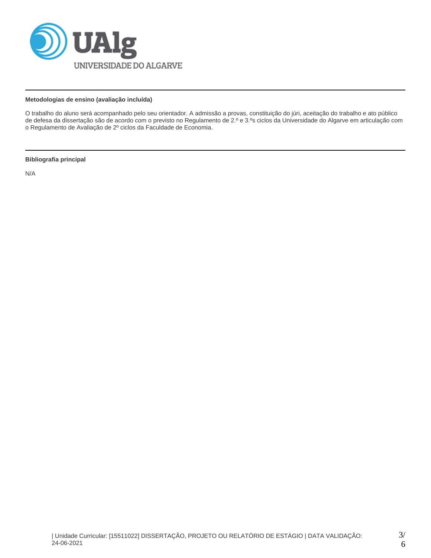

# **Metodologias de ensino (avaliação incluída)**

O trabalho do aluno será acompanhado pelo seu orientador. A admissão a provas, constituição do júri, aceitação do trabalho e ato público de defesa da dissertação são de acordo com o previsto no Regulamento de 2.º e 3.ºs ciclos da Universidade do Algarve em articulação com o Regulamento de Avaliação de 2º ciclos da Faculdade de Economia.

## **Bibliografia principal**

N/A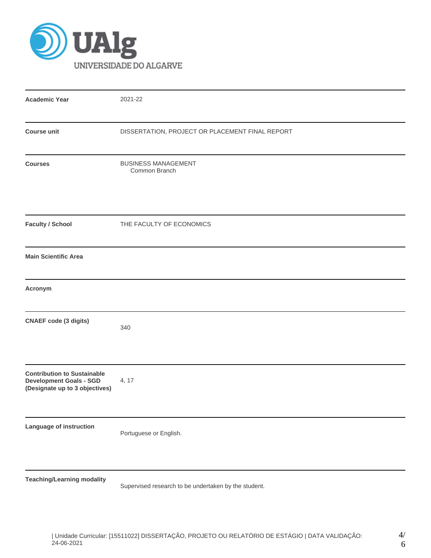

| <b>Academic Year</b>                                                                                   | 2021-22                                              |
|--------------------------------------------------------------------------------------------------------|------------------------------------------------------|
| <b>Course unit</b>                                                                                     | DISSERTATION, PROJECT OR PLACEMENT FINAL REPORT      |
| <b>Courses</b>                                                                                         | <b>BUSINESS MANAGEMENT</b><br>Common Branch          |
| <b>Faculty / School</b>                                                                                | THE FACULTY OF ECONOMICS                             |
| <b>Main Scientific Area</b>                                                                            |                                                      |
| Acronym                                                                                                |                                                      |
| <b>CNAEF</b> code (3 digits)                                                                           | 340                                                  |
| <b>Contribution to Sustainable</b><br><b>Development Goals - SGD</b><br>(Designate up to 3 objectives) | 4, 17                                                |
| Language of instruction                                                                                | Portuguese or English.                               |
| <b>Teaching/Learning modality</b>                                                                      | Supervised research to be undertaken by the student. |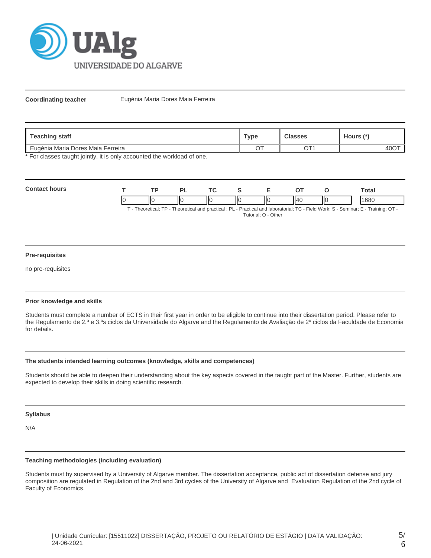

**Coordinating teacher** Eugénia Maria Dores Maia Ferreira

| Teaching staff                    | ™уре    | <b>Classes</b>           | Hours (*) |
|-----------------------------------|---------|--------------------------|-----------|
| Eugénia Maria Dores Maia Ferreira | ⌒⊤<br>◡ | $\bigcap$ T <sub>1</sub> | 40O       |

\* For classes taught jointly, it is only accounted the workload of one.

| Cont |    | <b>TD</b> |    | <u>те</u> | -  |    |      | otal       |
|------|----|-----------|----|-----------|----|----|------|------------|
|      | ıc | н۷<br>    | IЮ | IЮ        | ШC | ۱л | -lic | 1000<br>οU |

T - Theoretical; TP - Theoretical and practical ; PL - Practical and laboratorial; TC - Field Work; S - Seminar; E - Training; OT - Tutorial; O - Other

#### **Pre-requisites**

no pre-requisites

## **Prior knowledge and skills**

Students must complete a number of ECTS in their first year in order to be eligible to continue into their dissertation period. Please refer to the Regulamento de 2.º e 3.ºs ciclos da Universidade do Algarve and the Regulamento de Avaliação de 2º ciclos da Faculdade de Economia for details.

## **The students intended learning outcomes (knowledge, skills and competences)**

Students should be able to deepen their understanding about the key aspects covered in the taught part of the Master. Further, students are expected to develop their skills in doing scientific research.

#### **Syllabus**

N/A

## **Teaching methodologies (including evaluation)**

Students must by supervised by a University of Algarve member. The dissertation acceptance, public act of dissertation defense and jury composition are regulated in Regulation of the 2nd and 3rd cycles of the University of Algarve and Evaluation Regulation of the 2nd cycle of Faculty of Economics.